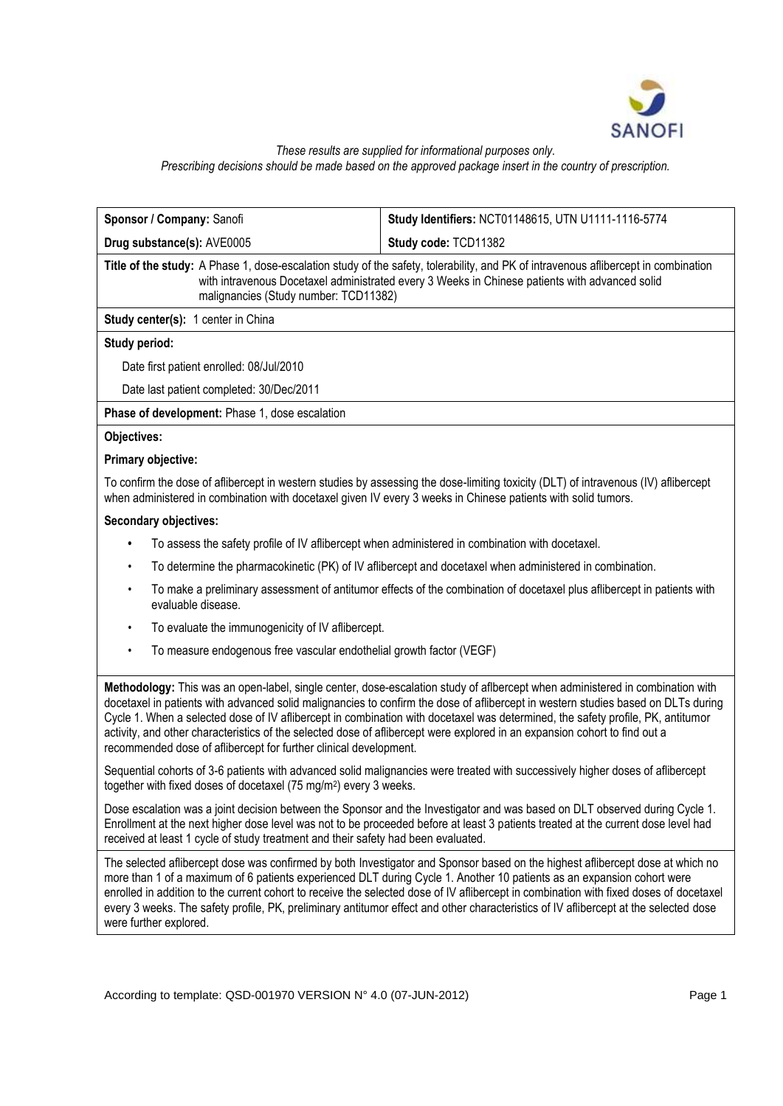

#### *These results are supplied for informational purposes only. Prescribing decisions should be made based on the approved package insert in the country of prescription.*

| Sponsor / Company: Sanofi                                                                                                                                                                                                                                                                                                                                                                                                                                                                                                                                                                                | Study Identifiers: NCT01148615, UTN U1111-1116-5774                                                                                                                                                                                                                                                                                                                                                                                                                                                                                        |  |  |  |  |
|----------------------------------------------------------------------------------------------------------------------------------------------------------------------------------------------------------------------------------------------------------------------------------------------------------------------------------------------------------------------------------------------------------------------------------------------------------------------------------------------------------------------------------------------------------------------------------------------------------|--------------------------------------------------------------------------------------------------------------------------------------------------------------------------------------------------------------------------------------------------------------------------------------------------------------------------------------------------------------------------------------------------------------------------------------------------------------------------------------------------------------------------------------------|--|--|--|--|
| Drug substance(s): AVE0005                                                                                                                                                                                                                                                                                                                                                                                                                                                                                                                                                                               | Study code: TCD11382                                                                                                                                                                                                                                                                                                                                                                                                                                                                                                                       |  |  |  |  |
| Title of the study: A Phase 1, dose-escalation study of the safety, tolerability, and PK of intravenous aflibercept in combination<br>with intravenous Docetaxel administrated every 3 Weeks in Chinese patients with advanced solid<br>malignancies (Study number: TCD11382)                                                                                                                                                                                                                                                                                                                            |                                                                                                                                                                                                                                                                                                                                                                                                                                                                                                                                            |  |  |  |  |
| Study center(s): 1 center in China                                                                                                                                                                                                                                                                                                                                                                                                                                                                                                                                                                       |                                                                                                                                                                                                                                                                                                                                                                                                                                                                                                                                            |  |  |  |  |
| Study period:                                                                                                                                                                                                                                                                                                                                                                                                                                                                                                                                                                                            |                                                                                                                                                                                                                                                                                                                                                                                                                                                                                                                                            |  |  |  |  |
| Date first patient enrolled: 08/Jul/2010                                                                                                                                                                                                                                                                                                                                                                                                                                                                                                                                                                 |                                                                                                                                                                                                                                                                                                                                                                                                                                                                                                                                            |  |  |  |  |
| Date last patient completed: 30/Dec/2011                                                                                                                                                                                                                                                                                                                                                                                                                                                                                                                                                                 |                                                                                                                                                                                                                                                                                                                                                                                                                                                                                                                                            |  |  |  |  |
| Phase of development: Phase 1, dose escalation                                                                                                                                                                                                                                                                                                                                                                                                                                                                                                                                                           |                                                                                                                                                                                                                                                                                                                                                                                                                                                                                                                                            |  |  |  |  |
| Objectives:                                                                                                                                                                                                                                                                                                                                                                                                                                                                                                                                                                                              |                                                                                                                                                                                                                                                                                                                                                                                                                                                                                                                                            |  |  |  |  |
| Primary objective:                                                                                                                                                                                                                                                                                                                                                                                                                                                                                                                                                                                       |                                                                                                                                                                                                                                                                                                                                                                                                                                                                                                                                            |  |  |  |  |
| To confirm the dose of aflibercept in western studies by assessing the dose-limiting toxicity (DLT) of intravenous (IV) aflibercept<br>when administered in combination with docetaxel given IV every 3 weeks in Chinese patients with solid tumors.                                                                                                                                                                                                                                                                                                                                                     |                                                                                                                                                                                                                                                                                                                                                                                                                                                                                                                                            |  |  |  |  |
| <b>Secondary objectives:</b>                                                                                                                                                                                                                                                                                                                                                                                                                                                                                                                                                                             |                                                                                                                                                                                                                                                                                                                                                                                                                                                                                                                                            |  |  |  |  |
| To assess the safety profile of IV aflibercept when administered in combination with docetaxel.                                                                                                                                                                                                                                                                                                                                                                                                                                                                                                          |                                                                                                                                                                                                                                                                                                                                                                                                                                                                                                                                            |  |  |  |  |
| ٠                                                                                                                                                                                                                                                                                                                                                                                                                                                                                                                                                                                                        | To determine the pharmacokinetic (PK) of IV aflibercept and docetaxel when administered in combination.                                                                                                                                                                                                                                                                                                                                                                                                                                    |  |  |  |  |
| To make a preliminary assessment of antitumor effects of the combination of docetaxel plus aflibercept in patients with<br>٠<br>evaluable disease.                                                                                                                                                                                                                                                                                                                                                                                                                                                       |                                                                                                                                                                                                                                                                                                                                                                                                                                                                                                                                            |  |  |  |  |
| To evaluate the immunogenicity of IV aflibercept.<br>$\bullet$                                                                                                                                                                                                                                                                                                                                                                                                                                                                                                                                           |                                                                                                                                                                                                                                                                                                                                                                                                                                                                                                                                            |  |  |  |  |
| To measure endogenous free vascular endothelial growth factor (VEGF)<br>٠                                                                                                                                                                                                                                                                                                                                                                                                                                                                                                                                |                                                                                                                                                                                                                                                                                                                                                                                                                                                                                                                                            |  |  |  |  |
| Methodology: This was an open-label, single center, dose-escalation study of aflbercept when administered in combination with<br>docetaxel in patients with advanced solid malignancies to confirm the dose of aflibercept in western studies based on DLTs during<br>Cycle 1. When a selected dose of IV aflibercept in combination with docetaxel was determined, the safety profile, PK, antitumor<br>activity, and other characteristics of the selected dose of aflibercept were explored in an expansion cohort to find out a<br>recommended dose of aflibercept for further clinical development. |                                                                                                                                                                                                                                                                                                                                                                                                                                                                                                                                            |  |  |  |  |
| Sequential cohorts of 3-6 patients with advanced solid malignancies were treated with successively higher doses of aflibercept<br>together with fixed doses of docetaxel (75 mg/m <sup>2</sup> ) every 3 weeks.                                                                                                                                                                                                                                                                                                                                                                                          |                                                                                                                                                                                                                                                                                                                                                                                                                                                                                                                                            |  |  |  |  |
| Dose escalation was a joint decision between the Sponsor and the Investigator and was based on DLT observed during Cycle 1.<br>Enrollment at the next higher dose level was not to be proceeded before at least 3 patients treated at the current dose level had<br>received at least 1 cycle of study treatment and their safety had been evaluated.                                                                                                                                                                                                                                                    |                                                                                                                                                                                                                                                                                                                                                                                                                                                                                                                                            |  |  |  |  |
| were further explored.                                                                                                                                                                                                                                                                                                                                                                                                                                                                                                                                                                                   | The selected aflibercept dose was confirmed by both Investigator and Sponsor based on the highest aflibercept dose at which no<br>more than 1 of a maximum of 6 patients experienced DLT during Cycle 1. Another 10 patients as an expansion cohort were<br>enrolled in addition to the current cohort to receive the selected dose of IV aflibercept in combination with fixed doses of docetaxel<br>every 3 weeks. The safety profile, PK, preliminary antitumor effect and other characteristics of IV aflibercept at the selected dose |  |  |  |  |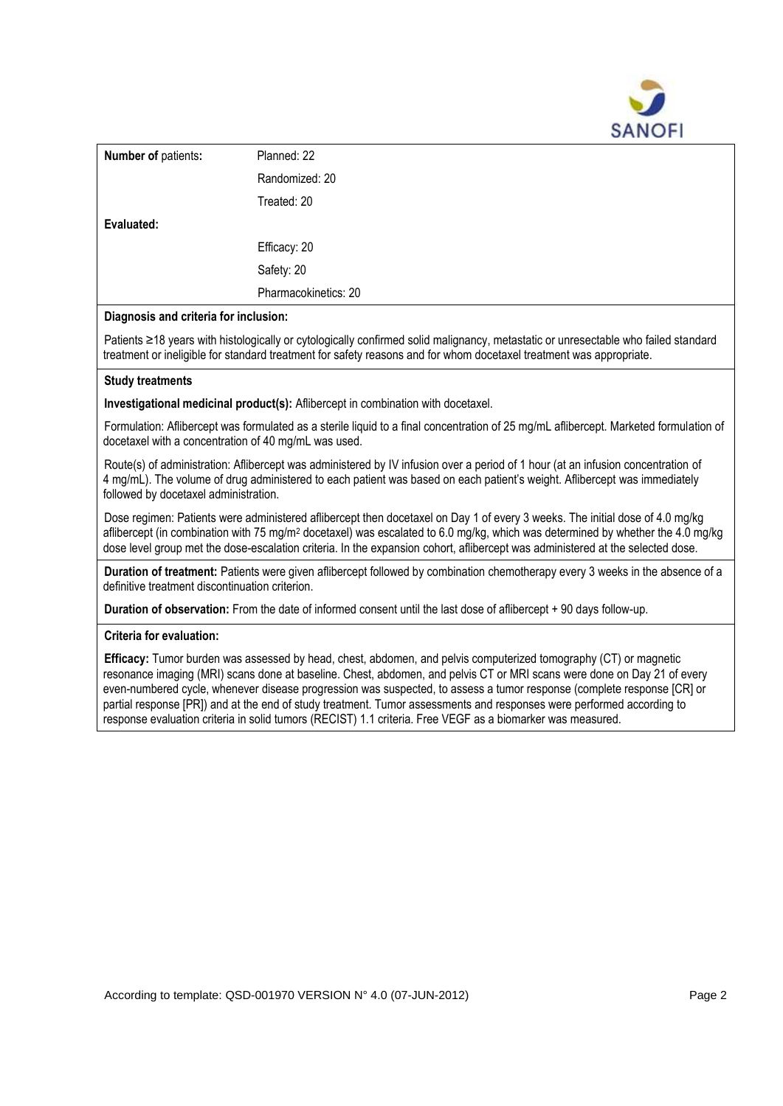

| <b>Number of patients:</b> | Planned: 22          |
|----------------------------|----------------------|
|                            | Randomized: 20       |
|                            | Treated: 20          |
| Evaluated:                 |                      |
|                            | Efficacy: 20         |
|                            | Safety: 20           |
|                            | Pharmacokinetics: 20 |

## **Diagnosis and criteria for inclusion:**

Patients ≥18 years with histologically or cytologically confirmed solid malignancy, metastatic or unresectable who failed standard treatment or ineligible for standard treatment for safety reasons and for whom docetaxel treatment was appropriate.

### **Study treatments**

**Investigational medicinal product(s):** Aflibercept in combination with docetaxel.

Formulation: Aflibercept was formulated as a sterile liquid to a final concentration of 25 mg/mL aflibercept. Marketed formulation of docetaxel with a concentration of 40 mg/mL was used.

Route(s) of administration: Aflibercept was administered by IV infusion over a period of 1 hour (at an infusion concentration of 4 mg/mL). The volume of drug administered to each patient was based on each patient's weight. Aflibercept was immediately followed by docetaxel administration.

Dose regimen: Patients were administered aflibercept then docetaxel on Day 1 of every 3 weeks. The initial dose of 4.0 mg/kg aflibercept (in combination with 75 mg/m<sup>2</sup> docetaxel) was escalated to 6.0 mg/kg, which was determined by whether the 4.0 mg/kg dose level group met the dose-escalation criteria. In the expansion cohort, aflibercept was administered at the selected dose.

**Duration of treatment:** Patients were given aflibercept followed by combination chemotherapy every 3 weeks in the absence of a definitive treatment discontinuation criterion.

**Duration of observation:** From the date of informed consent until the last dose of aflibercept + 90 days follow-up.

#### **Criteria for evaluation:**

**Efficacy:** Tumor burden was assessed by head, chest, abdomen, and pelvis computerized tomography (CT) or magnetic resonance imaging (MRI) scans done at baseline. Chest, abdomen, and pelvis CT or MRI scans were done on Day 21 of every even-numbered cycle, whenever disease progression was suspected, to assess a tumor response (complete response [CR] or partial response [PR]) and at the end of study treatment. Tumor assessments and responses were performed according to response evaluation criteria in solid tumors (RECIST) 1.1 criteria. Free VEGF as a biomarker was measured.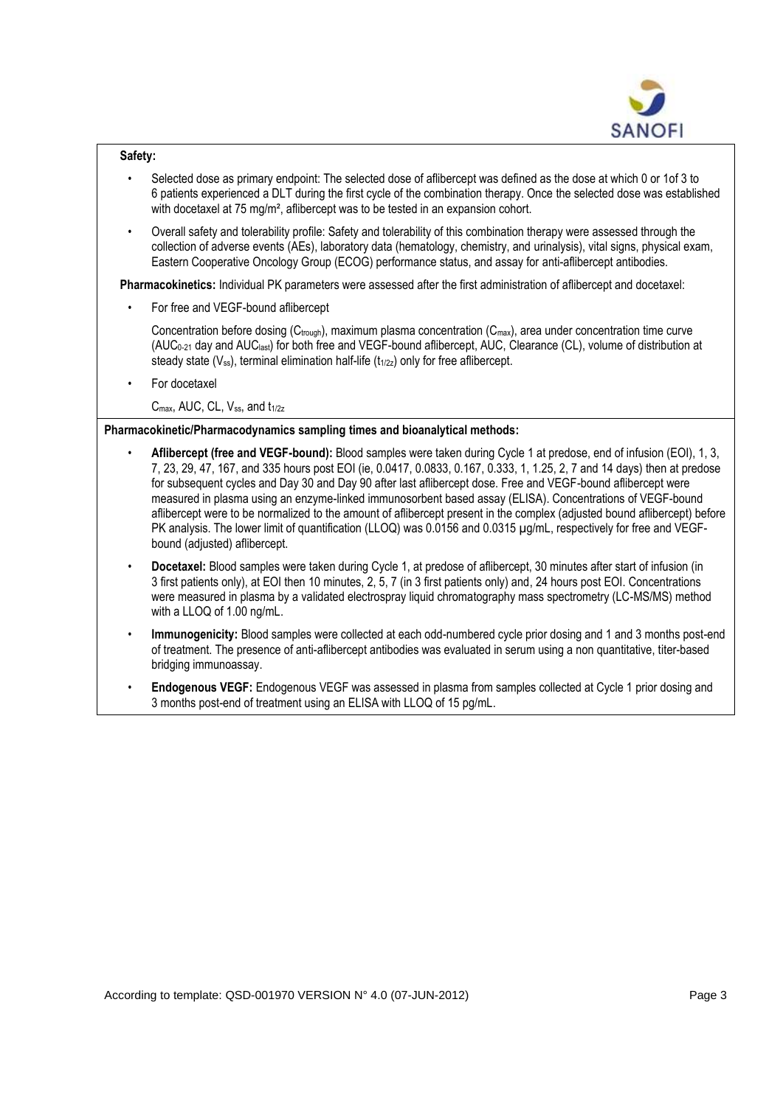

### **Safety:**

- Selected dose as primary endpoint: The selected dose of aflibercept was defined as the dose at which 0 or 1of 3 to 6 patients experienced a DLT during the first cycle of the combination therapy. Once the selected dose was established with docetaxel at 75 mg/m<sup>2</sup>, aflibercept was to be tested in an expansion cohort.
- Overall safety and tolerability profile: Safety and tolerability of this combination therapy were assessed through the collection of adverse events (AEs), laboratory data (hematology, chemistry, and urinalysis), vital signs, physical exam, Eastern Cooperative Oncology Group (ECOG) performance status, and assay for anti-aflibercept antibodies.

**Pharmacokinetics:** Individual PK parameters were assessed after the first administration of aflibercept and docetaxel:

• For free and VEGF-bound aflibercept

Concentration before dosing ( $C_{\text{trough}}$ ), maximum plasma concentration ( $C_{\text{max}}$ ), area under concentration time curve (AUC0-21 day and AUClast) for both free and VEGF-bound aflibercept, AUC, Clearance (CL), volume of distribution at steady state  $(V_{ss})$ , terminal elimination half-life  $(t_{1/2z})$  only for free aflibercept.

• For docetaxel

C<sub>max</sub>, AUC, CL, V<sub>ss</sub>, and t<sub>1/2z</sub>

# **Pharmacokinetic/Pharmacodynamics sampling times and bioanalytical methods:**

- **Aflibercept (free and VEGF-bound):** Blood samples were taken during Cycle 1 at predose, end of infusion (EOI), 1, 3, 7, 23, 29, 47, 167, and 335 hours post EOI (ie, 0.0417, 0.0833, 0.167, 0.333, 1, 1.25, 2, 7 and 14 days) then at predose for subsequent cycles and Day 30 and Day 90 after last aflibercept dose. Free and VEGF-bound aflibercept were measured in plasma using an enzyme-linked immunosorbent based assay (ELISA). Concentrations of VEGF-bound aflibercept were to be normalized to the amount of aflibercept present in the complex (adjusted bound aflibercept) before PK analysis. The lower limit of quantification (LLOQ) was 0.0156 and 0.0315 µg/mL, respectively for free and VEGFbound (adjusted) aflibercept.
- **Docetaxel:** Blood samples were taken during Cycle 1, at predose of aflibercept, 30 minutes after start of infusion (in 3 first patients only), at EOI then 10 minutes, 2, 5, 7 (in 3 first patients only) and, 24 hours post EOI. Concentrations were measured in plasma by a validated electrospray liquid chromatography mass spectrometry (LC-MS/MS) method with a LLOQ of 1.00 ng/mL.
- **Immunogenicity:** Blood samples were collected at each odd-numbered cycle prior dosing and 1 and 3 months post-end of treatment. The presence of anti-aflibercept antibodies was evaluated in serum using a non quantitative, titer-based bridging immunoassay.
- **Endogenous VEGF:** Endogenous VEGF was assessed in plasma from samples collected at Cycle 1 prior dosing and 3 months post-end of treatment using an ELISA with LLOQ of 15 pg/mL.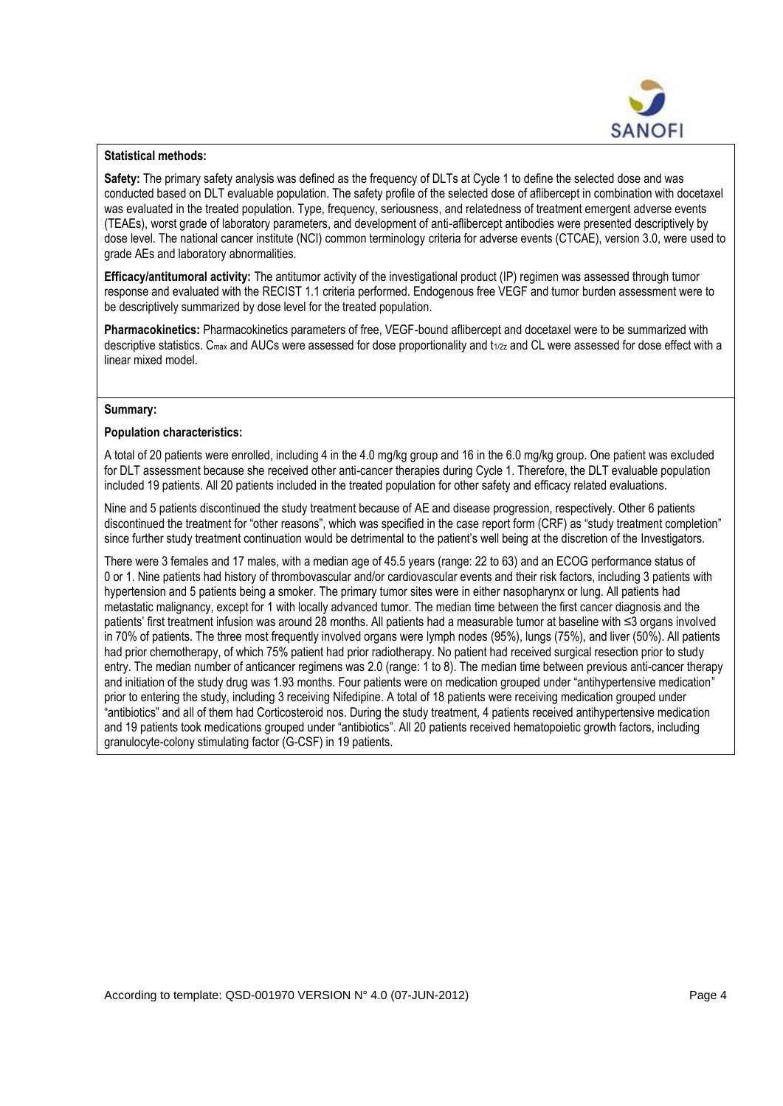

### **Statistical methods:**

**Safety:** The primary safety analysis was defined as the frequency of DLTs at Cycle 1 to define the selected dose and was conducted based on DLT evaluable population. The safety profile of the selected dose of aflibercept in combination with docetaxel was evaluated in the treated population. Type, frequency, seriousness, and relatedness of treatment emergent adverse events (TEAEs), worst grade of laboratory parameters, and development of anti-aflibercept antibodies were presented descriptively by dose level. The national cancer institute (NCI) common terminology criteria for adverse events (CTCAE), version 3.0, were used to grade AEs and laboratory abnormalities.

**Efficacy/antitumoral activity:** The antitumor activity of the investigational product (IP) regimen was assessed through tumor response and evaluated with the RECIST 1.1 criteria performed. Endogenous free VEGF and tumor burden assessment were to be descriptively summarized by dose level for the treated population.

**Pharmacokinetics:** Pharmacokinetics parameters of free, VEGF-bound aflibercept and docetaxel were to be summarized with descriptive statistics.  $C_{\text{max}}$  and AUCs were assessed for dose proportionality and  $t_{1/2z}$  and CL were assessed for dose effect with a linear mixed model.

### **Summary:**

### **Population characteristics:**

A total of 20 patients were enrolled, including 4 in the 4.0 mg/kg group and 16 in the 6.0 mg/kg group. One patient was excluded for DLT assessment because she received other anti-cancer therapies during Cycle 1. Therefore, the DLT evaluable population included 19 patients. All 20 patients included in the treated population for other safety and efficacy related evaluations.

Nine and 5 patients discontinued the study treatment because of AE and disease progression, respectively. Other 6 patients discontinued the treatment for "other reasons", which was specified in the case report form (CRF) as "study treatment completion" since further study treatment continuation would be detrimental to the patient's well being at the discretion of the Investigators.

There were 3 females and 17 males, with a median age of 45.5 years (range: 22 to 63) and an ECOG performance status of 0 or 1. Nine patients had history of thrombovascular and/or cardiovascular events and their risk factors, including 3 patients with hypertension and 5 patients being a smoker. The primary tumor sites were in either nasopharynx or lung. All patients had metastatic malignancy, except for 1 with locally advanced tumor. The median time between the first cancer diagnosis and the patients' first treatment infusion was around 28 months. All patients had a measurable tumor at baseline with ≤3 organs involved in 70% of patients. The three most frequently involved organs were lymph nodes (95%), lungs (75%), and liver (50%). All patients had prior chemotherapy, of which 75% patient had prior radiotherapy. No patient had received surgical resection prior to study entry. The median number of anticancer regimens was 2.0 (range: 1 to 8). The median time between previous anti-cancer therapy and initiation of the study drug was 1.93 months. Four patients were on medication grouped under "antihypertensive medication" prior to entering the study, including 3 receiving Nifedipine. A total of 18 patients were receiving medication grouped under "antibiotics" and all of them had Corticosteroid nos. During the study treatment, 4 patients received antihypertensive medication and 19 patients took medications grouped under "antibiotics". All 20 patients received hematopoietic growth factors, including granulocyte-colony stimulating factor (G-CSF) in 19 patients.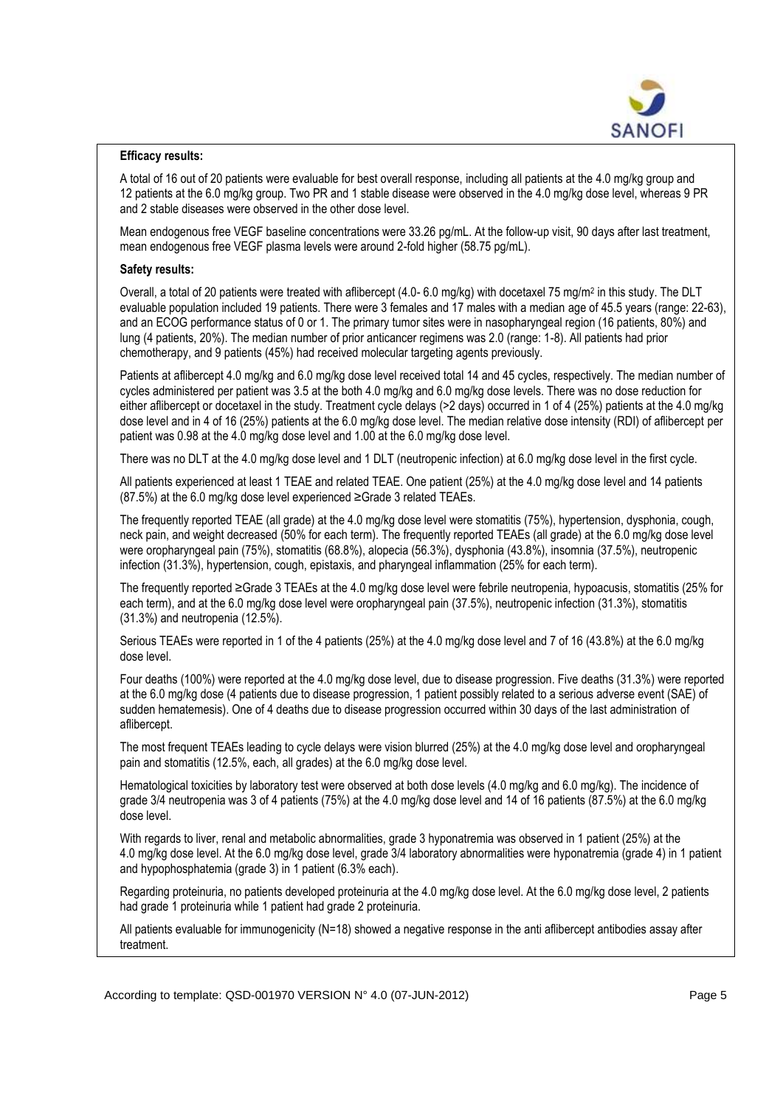

### **Efficacy results:**

A total of 16 out of 20 patients were evaluable for best overall response, including all patients at the 4.0 mg/kg group and 12 patients at the 6.0 mg/kg group. Two PR and 1 stable disease were observed in the 4.0 mg/kg dose level, whereas 9 PR and 2 stable diseases were observed in the other dose level.

Mean endogenous free VEGF baseline concentrations were 33.26 pg/mL. At the follow-up visit, 90 days after last treatment, mean endogenous free VEGF plasma levels were around 2-fold higher (58.75 pg/mL).

### **Safety results:**

Overall, a total of 20 patients were treated with aflibercept (4.0- 6.0 mg/kg) with docetaxel 75 mg/m<sup>2</sup> in this study. The DLT evaluable population included 19 patients. There were 3 females and 17 males with a median age of 45.5 years (range: 22-63), and an ECOG performance status of 0 or 1. The primary tumor sites were in nasopharyngeal region (16 patients, 80%) and lung (4 patients, 20%). The median number of prior anticancer regimens was 2.0 (range: 1-8). All patients had prior chemotherapy, and 9 patients (45%) had received molecular targeting agents previously.

Patients at aflibercept 4.0 mg/kg and 6.0 mg/kg dose level received total 14 and 45 cycles, respectively. The median number of cycles administered per patient was 3.5 at the both 4.0 mg/kg and 6.0 mg/kg dose levels. There was no dose reduction for either aflibercept or docetaxel in the study. Treatment cycle delays (>2 days) occurred in 1 of 4 (25%) patients at the 4.0 mg/kg dose level and in 4 of 16 (25%) patients at the 6.0 mg/kg dose level. The median relative dose intensity (RDI) of aflibercept per patient was 0.98 at the 4.0 mg/kg dose level and 1.00 at the 6.0 mg/kg dose level.

There was no DLT at the 4.0 mg/kg dose level and 1 DLT (neutropenic infection) at 6.0 mg/kg dose level in the first cycle.

All patients experienced at least 1 TEAE and related TEAE. One patient (25%) at the 4.0 mg/kg dose level and 14 patients (87.5%) at the 6.0 mg/kg dose level experienced ≥Grade 3 related TEAEs.

The frequently reported TEAE (all grade) at the 4.0 mg/kg dose level were stomatitis (75%), hypertension, dysphonia, cough, neck pain, and weight decreased (50% for each term). The frequently reported TEAEs (all grade) at the 6.0 mg/kg dose level were oropharyngeal pain (75%), stomatitis (68.8%), alopecia (56.3%), dysphonia (43.8%), insomnia (37.5%), neutropenic infection (31.3%), hypertension, cough, epistaxis, and pharyngeal inflammation (25% for each term).

The frequently reported ≥Grade 3 TEAEs at the 4.0 mg/kg dose level were febrile neutropenia, hypoacusis, stomatitis (25% for each term), and at the 6.0 mg/kg dose level were oropharyngeal pain (37.5%), neutropenic infection (31.3%), stomatitis (31.3%) and neutropenia (12.5%).

Serious TEAEs were reported in 1 of the 4 patients (25%) at the 4.0 mg/kg dose level and 7 of 16 (43.8%) at the 6.0 mg/kg dose level.

Four deaths (100%) were reported at the 4.0 mg/kg dose level, due to disease progression. Five deaths (31.3%) were reported at the 6.0 mg/kg dose (4 patients due to disease progression, 1 patient possibly related to a serious adverse event (SAE) of sudden hematemesis). One of 4 deaths due to disease progression occurred within 30 days of the last administration of aflibercept.

The most frequent TEAEs leading to cycle delays were vision blurred (25%) at the 4.0 mg/kg dose level and oropharyngeal pain and stomatitis (12.5%, each, all grades) at the 6.0 mg/kg dose level.

Hematological toxicities by laboratory test were observed at both dose levels (4.0 mg/kg and 6.0 mg/kg). The incidence of grade 3/4 neutropenia was 3 of 4 patients (75%) at the 4.0 mg/kg dose level and 14 of 16 patients (87.5%) at the 6.0 mg/kg dose level.

With regards to liver, renal and metabolic abnormalities, grade 3 hyponatremia was observed in 1 patient (25%) at the 4.0 mg/kg dose level. At the 6.0 mg/kg dose level, grade 3/4 laboratory abnormalities were hyponatremia (grade 4) in 1 patient and hypophosphatemia (grade 3) in 1 patient (6.3% each).

Regarding proteinuria, no patients developed proteinuria at the 4.0 mg/kg dose level. At the 6.0 mg/kg dose level, 2 patients had grade 1 proteinuria while 1 patient had grade 2 proteinuria.

All patients evaluable for immunogenicity (N=18) showed a negative response in the anti aflibercept antibodies assay after treatment.